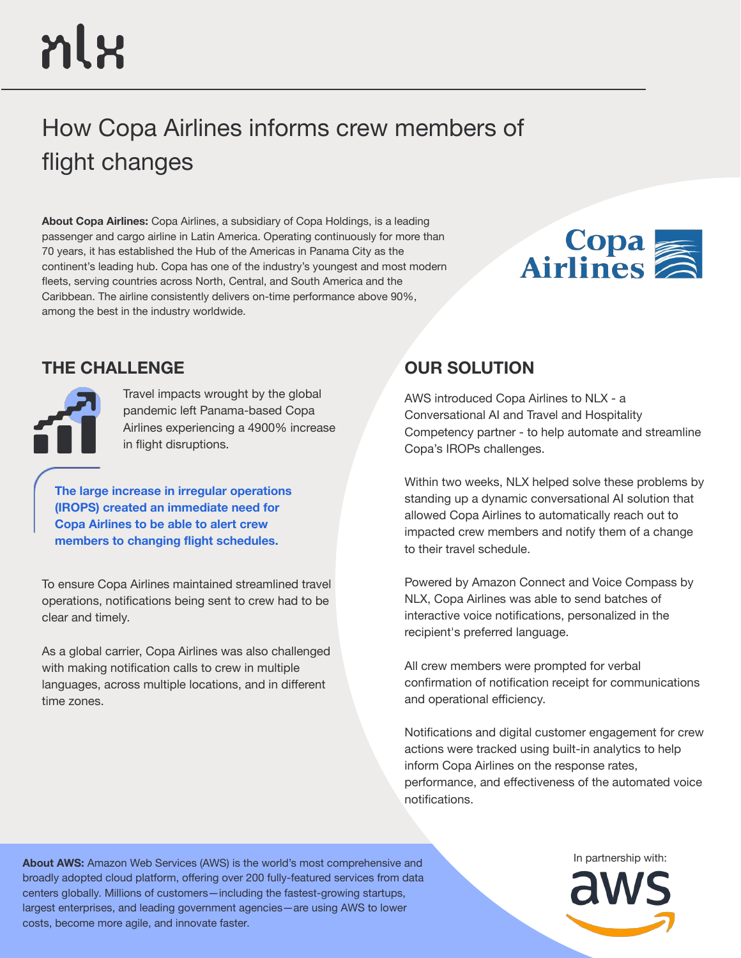# nlx

# How Copa Airlines informs crew members of flight changes

**About Copa Airlines:** Copa Airlines, a subsidiary of Copa Holdings, is a leading passenger and cargo airline in Latin America. Operating continuously for more than 70 years, it has established the Hub of the Americas in Panama City as the continent's leading hub. Copa has one of the industry's youngest and most modern fleets, serving countries across North, Central, and South America and the Caribbean. The airline consistently delivers on-time performance above 90%, among the best in the industry worldwide.



# **THE CHALLENGE OUR SOLUTION**



Travel impacts wrought by the global pandemic left Panama-based Copa Airlines experiencing a 4900% increase in flight disruptions.

**The large increase in irregular operations (IROPS) created an immediate need for Copa Airlines to be able to alert crew members to changing flight schedules.** 

To ensure Copa Airlines maintained streamlined travel operations, notifications being sent to crew had to be clear and timely.

As a global carrier, Copa Airlines was also challenged with making notification calls to crew in multiple languages, across multiple locations, and in different time zones.

AWS introduced Copa Airlines to NLX - a Conversational AI and Travel and Hospitality Competency partner - to help automate and streamline Copa's IROPs challenges.

Within two weeks, NLX helped solve these problems by standing up a dynamic conversational AI solution that allowed Copa Airlines to automatically reach out to impacted crew members and notify them of a change to their travel schedule.

Powered by Amazon Connect and Voice Compass by NLX, Copa Airlines was able to send batches of interactive voice notifications, personalized in the recipient's preferred language.

All crew members were prompted for verbal confirmation of notification receipt for communications and operational efficiency.

Notifications and digital customer engagement for crew actions were tracked using built-in analytics to help inform Copa Airlines on the response rates, performance, and effectiveness of the automated voice notifications.

About AWS: Amazon Web Services (AWS) is the world's most comprehensive and **Albout AWS:** Amazon Web Services (AWS) is the world's most comprehensive and broadly adopted cloud platform, offering over 200 fully-featured services from data centers globally. Millions of customers—including the fastest-growing startups, largest enterprises, and leading government agencies—are using AWS to lower costs, become more agile, and innovate faster.